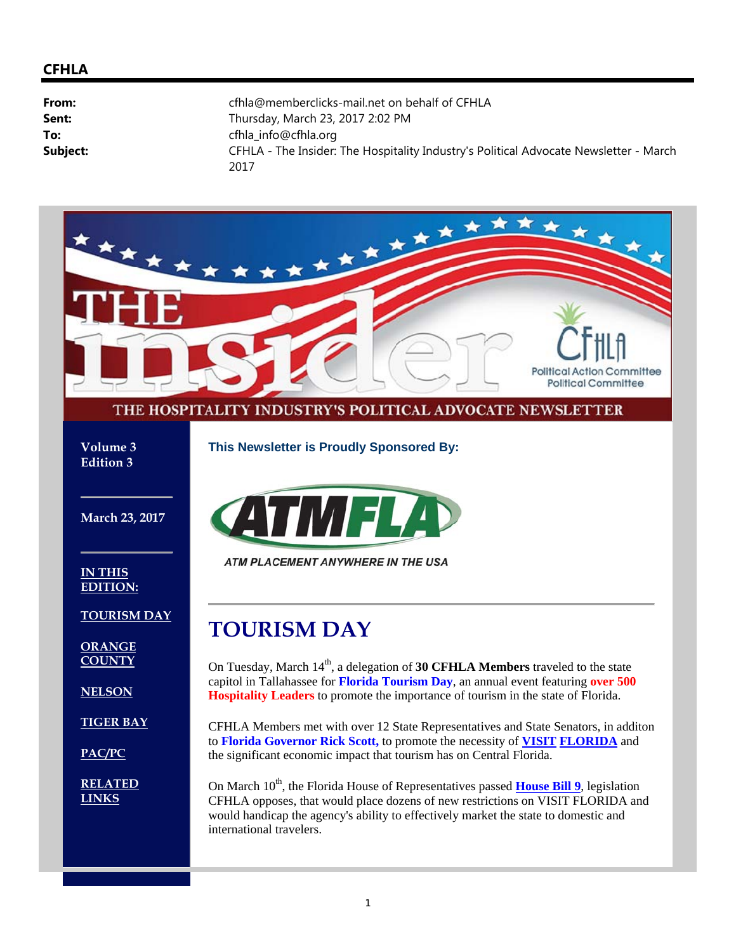#### **CFHLA**

| From:    | cfhla@memberclicks-mail.net on behalf of CFHLA                                                |
|----------|-----------------------------------------------------------------------------------------------|
| Sent:    | Thursday, March 23, 2017 2:02 PM                                                              |
| To:      | cfhla_info@cfhla.org                                                                          |
| Subject: | CFHLA - The Insider: The Hospitality Industry's Political Advocate Newsletter - March<br>2017 |

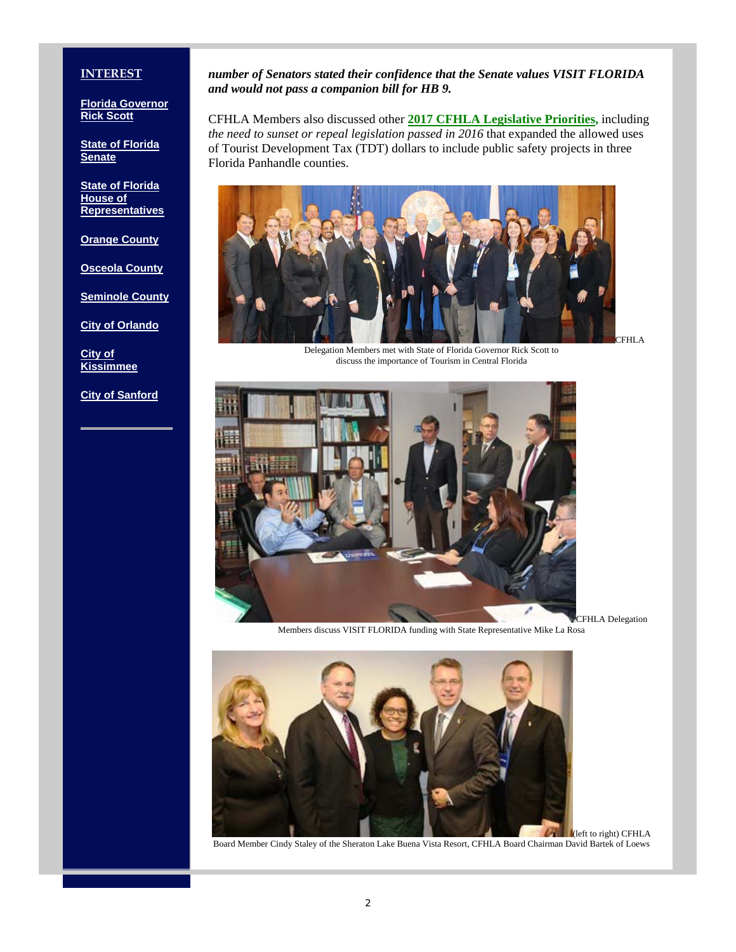#### **INTEREST**

**Florida Governor Rick Scott**

**State of Florida Senate**

**State of Florida House of Representatives**

**Orange County**

**Osceola County**

**Seminole County**

**City of Orlando**

**City of Kissimmee**

**City of Sanford**

#### *number of Senators stated their confidence that the Senate values VISIT FLORIDA and would not pass a companion bill for HB 9.*

CFHLA Members also discussed other **2017 CFHLA Legislative Priorities,** including *the need to sunset or repeal legislation passed in 2016* that expanded the allowed uses of Tourist Development Tax (TDT) dollars to include public safety projects in three Florida Panhandle counties.



Delegation Members met with State of Florida Governor Rick Scott to discuss the importance of Tourism in Central Florida



CFHLA Delegation Members discuss VISIT FLORIDA funding with State Representative Mike La Rosa



Board Member Cindy Staley of the Sheraton Lake Buena Vista Resort, CFHLA Board Chairman David Bartek of Loews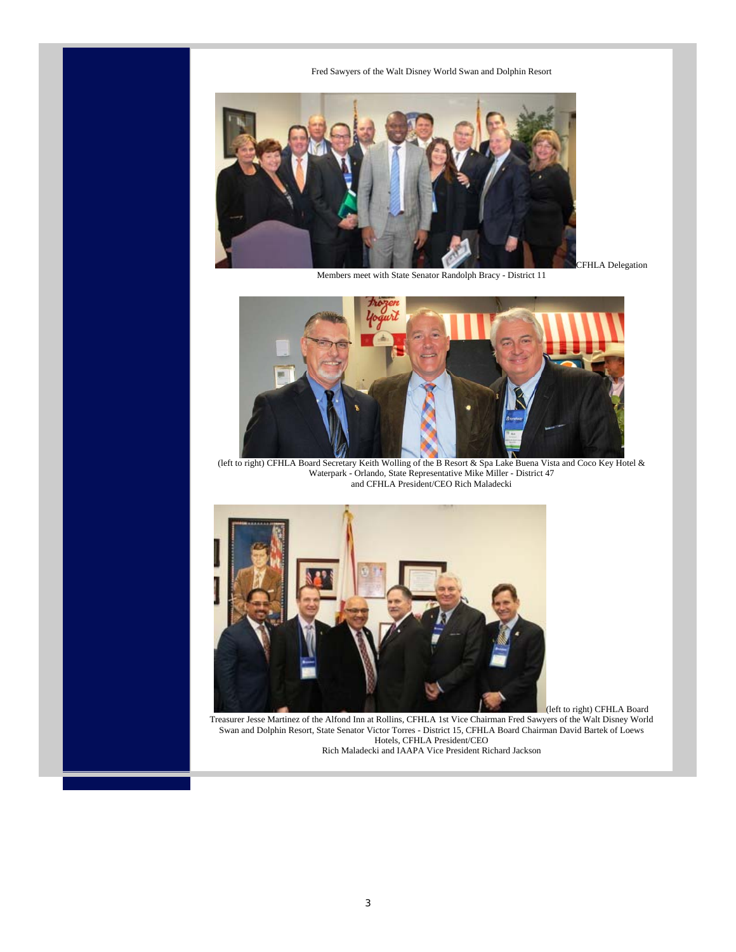Fred Sawyers of the Walt Disney World Swan and Dolphin Resort



Members meet with State Senator Randolph Bracy - District 11

CFHLA Delegation



(left to right) CFHLA Board Secretary Keith Wolling of the B Resort & Spa Lake Buena Vista and Coco Key Hotel & Waterpark - Orlando, State Representative Mike Miller - District 47 and CFHLA President/CEO Rich Maladecki



(left to right) CFHLA Board

Treasurer Jesse Martinez of the Alfond Inn at Rollins, CFHLA 1st Vice Chairman Fred Sawyers of the Walt Disney World Swan and Dolphin Resort, State Senator Victor Torres - District 15, CFHLA Board Chairman David Bartek of Loews Hotels, CFHLA President/CEO Rich Maladecki and IAAPA Vice President Richard Jackson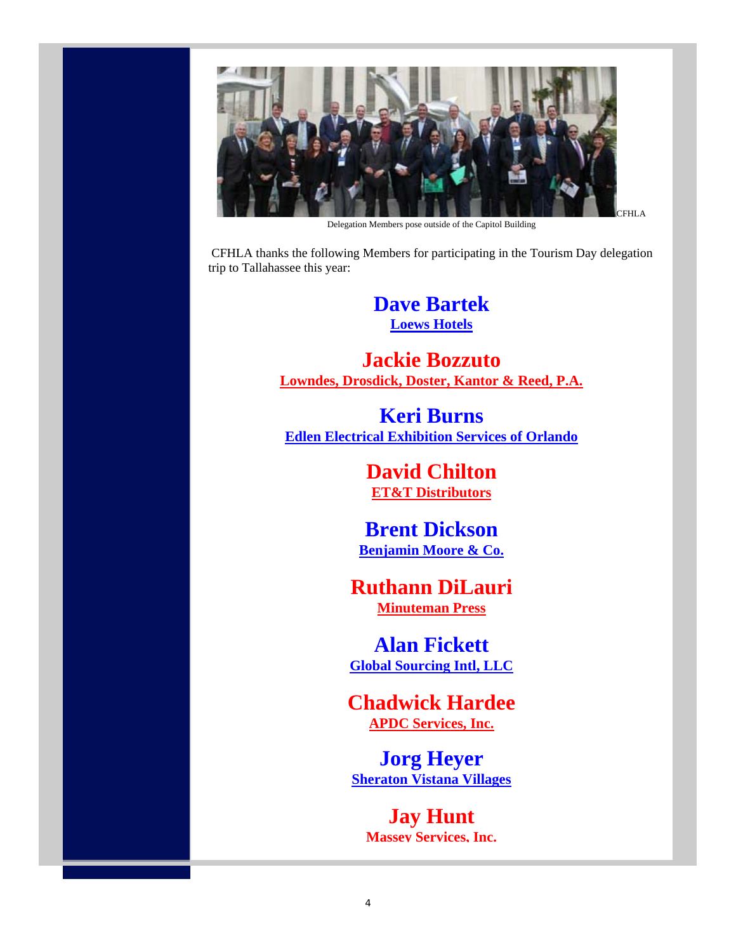

Delegation Members pose outside of the Capitol Building

 CFHLA thanks the following Members for participating in the Tourism Day delegation trip to Tallahassee this year:

> **Dave Bartek Loews Hotels**

**Jackie Bozzuto Lowndes, Drosdick, Doster, Kantor & Reed, P.A.**

**Keri Burns Edlen Electrical Exhibition Services of Orlando**

> **David Chilton ET&T Distributors**

**Brent Dickson Benjamin Moore & Co.**

**Ruthann DiLauri Minuteman Press**

**Alan Fickett Global Sourcing Intl, LLC**

**Chadwick Hardee APDC Services, Inc.**

**Jorg Heyer Sheraton Vistana Villages**

**Jay Hunt Massey Services, Inc.**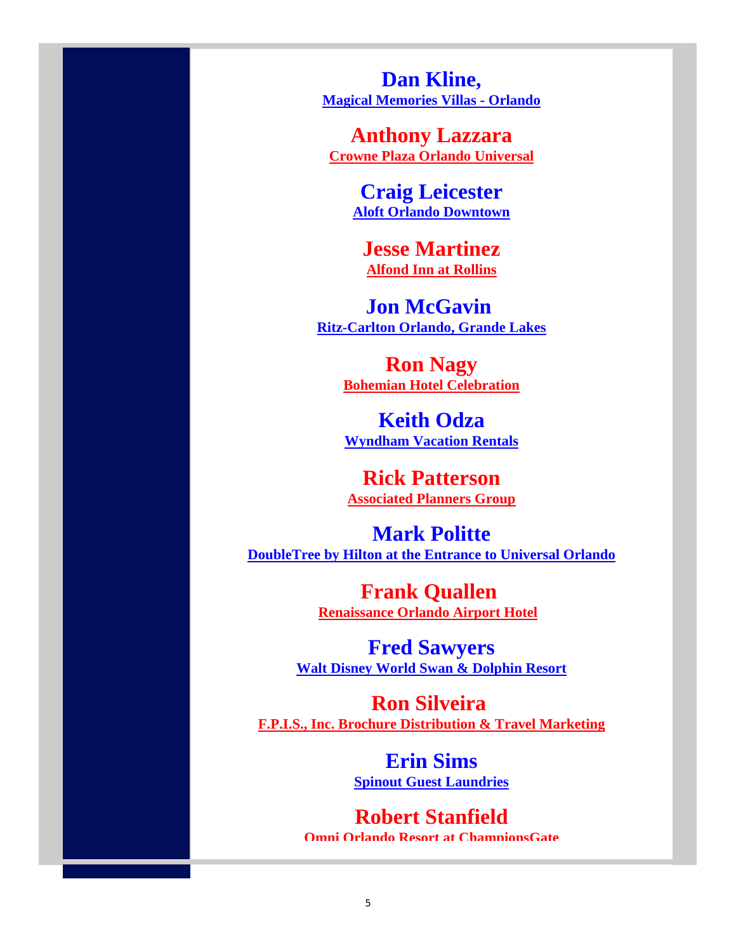**Dan Kline, Magical Memories Villas - Orlando**

**Anthony Lazzara Crowne Plaza Orlando Universal**

> **Craig Leicester Aloft Orlando Downtown**

**Jesse Martinez Alfond Inn at Rollins**

**Jon McGavin Ritz-Carlton Orlando, Grande Lakes**

> **Ron Nagy Bohemian Hotel Celebration**

> **Keith Odza Wyndham Vacation Rentals**

**Rick Patterson Associated Planners Group**

**Mark Politte DoubleTree by Hilton at the Entrance to Universal Orlando** 

> **Frank Quallen Renaissance Orlando Airport Hotel**

**Fred Sawyers Walt Disney World Swan & Dolphin Resort**

**Ron Silveira F.P.I.S., Inc. Brochure Distribution & Travel Marketing**

> **Erin Sims Spinout Guest Laundries**

**Robert Stanfield Omni Orlando Resort at ChampionsGate**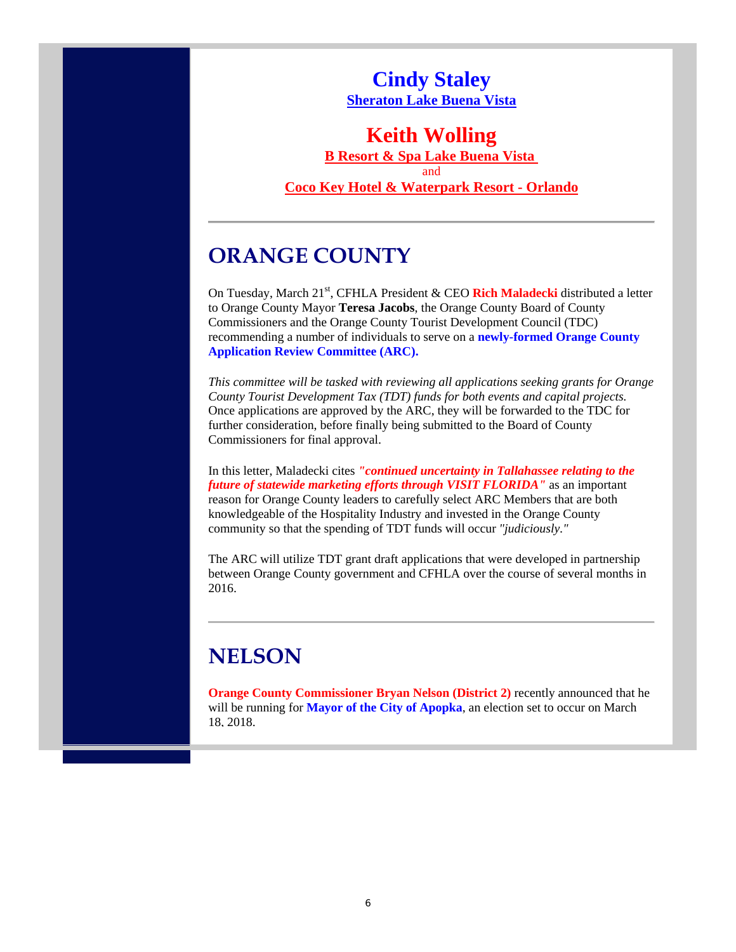**Cindy Staley Sheraton Lake Buena Vista**

#### **Keith Wolling**

**B Resort & Spa Lake Buena Vista**  and

**Coco Key Hotel & Waterpark Resort - Orlando**

### **ORANGE COUNTY**

On Tuesday, March 21<sup>st</sup>, CFHLA President & CEO Rich Maladecki distributed a letter to Orange County Mayor **Teresa Jacobs**, the Orange County Board of County Commissioners and the Orange County Tourist Development Council (TDC) recommending a number of individuals to serve on a **newly-formed Orange County Application Review Committee (ARC).**

*This committee will be tasked with reviewing all applications seeking grants for Orange County Tourist Development Tax (TDT) funds for both events and capital projects.* Once applications are approved by the ARC, they will be forwarded to the TDC for further consideration, before finally being submitted to the Board of County Commissioners for final approval.

In this letter, Maladecki cites *"continued uncertainty in Tallahassee relating to the future of statewide marketing efforts through VISIT FLORIDA"* as an important reason for Orange County leaders to carefully select ARC Members that are both knowledgeable of the Hospitality Industry and invested in the Orange County community so that the spending of TDT funds will occur *"judiciously."*

The ARC will utilize TDT grant draft applications that were developed in partnership between Orange County government and CFHLA over the course of several months in 2016.

### **NELSON**

**Orange County Commissioner Bryan Nelson (District 2)** recently announced that he will be running for **Mayor of the City of Apopka**, an election set to occur on March 18, 2018.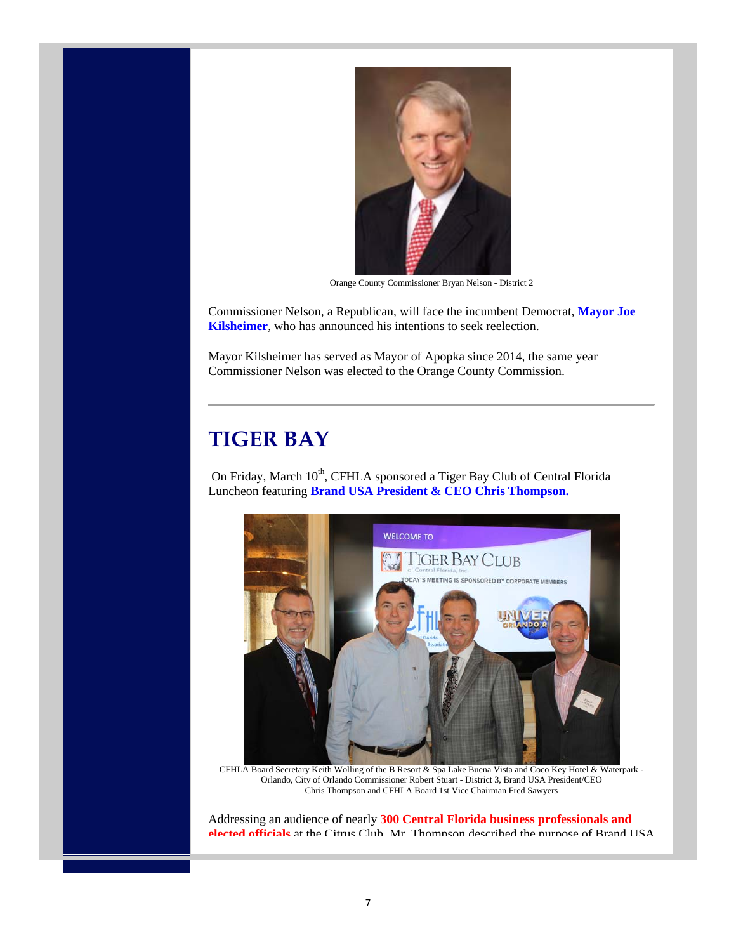

Orange County Commissioner Bryan Nelson - District 2

Commissioner Nelson, a Republican, will face the incumbent Democrat, **Mayor Joe Kilsheimer**, who has announced his intentions to seek reelection.

Mayor Kilsheimer has served as Mayor of Apopka since 2014, the same year Commissioner Nelson was elected to the Orange County Commission.

#### **TIGER BAY**

On Friday, March 10<sup>th</sup>, CFHLA sponsored a Tiger Bay Club of Central Florida Luncheon featuring **Brand USA President & CEO Chris Thompson.**



CFHLA Board Secretary Keith Wolling of the B Resort & Spa Lake Buena Vista and Coco Key Hotel & Waterpark - Orlando, City of Orlando Commissioner Robert Stuart - District 3, Brand USA President/CEO Chris Thompson and CFHLA Board 1st Vice Chairman Fred Sawyers

Addressing an audience of nearly **300 Central Florida business professionals and elected officials** at the Citrus Club, Mr. Thompson described the purpose of Brand USA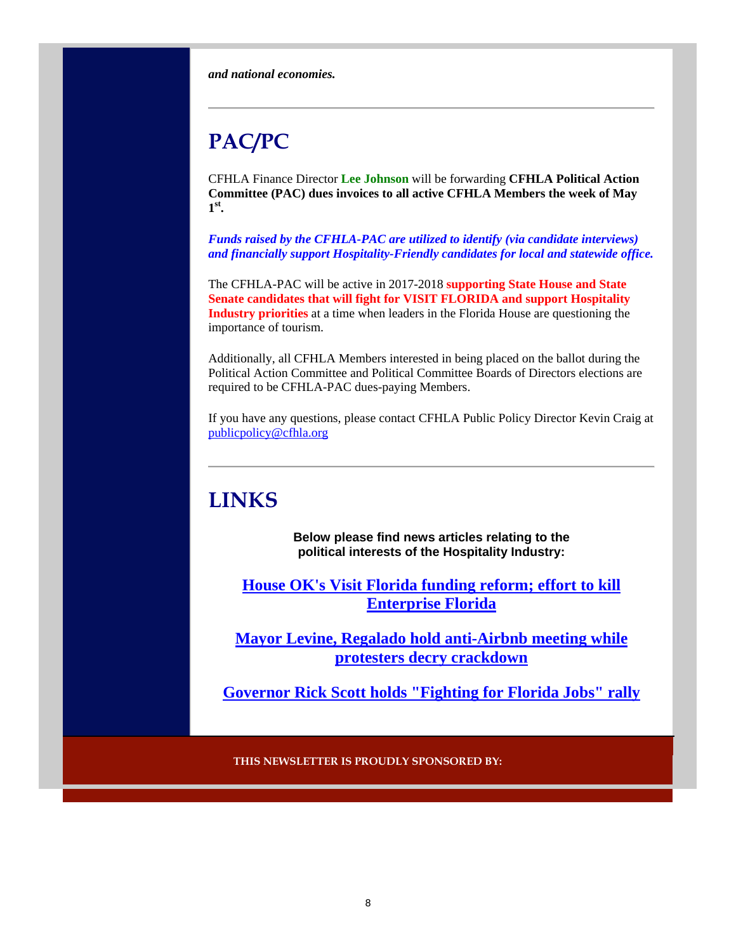*and national economies.*

# **PAC/PC**

CFHLA Finance Director **Lee Johnson** will be forwarding **CFHLA Political Action Committee (PAC) dues invoices to all active CFHLA Members the week of May 1st.**

*Funds raised by the CFHLA-PAC are utilized to identify (via candidate interviews) and financially support Hospitality-Friendly candidates for local and statewide office.*

The CFHLA-PAC will be active in 2017-2018 **supporting State House and State Senate candidates that will fight for VISIT FLORIDA and support Hospitality Industry priorities** at a time when leaders in the Florida House are questioning the importance of tourism.

Additionally, all CFHLA Members interested in being placed on the ballot during the Political Action Committee and Political Committee Boards of Directors elections are required to be CFHLA-PAC dues-paying Members.

If you have any questions, please contact CFHLA Public Policy Director Kevin Craig at publicpolicy@cfhla.org

# **LINKS**

**Below please find news articles relating to the political interests of the Hospitality Industry:**

**House OK's Visit Florida funding reform; effort to kill Enterprise Florida**

**Mayor Levine, Regalado hold anti-Airbnb meeting while protesters decry crackdown**

**Governor Rick Scott holds "Fighting for Florida Jobs" rally**

**THIS NEWSLETTER IS PROUDLY SPONSORED BY:**